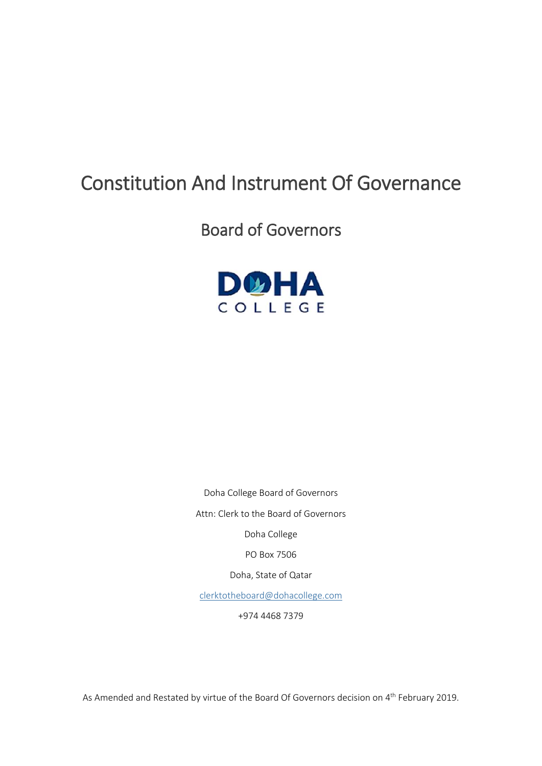# Constitution And Instrument Of Governance

## Board of Governors



Doha College Board of Governors

Attn: Clerk to the Board of Governors

Doha College

PO Box 7506

Doha, State of Qatar

[clerktotheboard@dohacollege.com](mailto:clerktotheboard@dohacollege.com)

+974 4468 7379

As Amended and Restated by virtue of the Board Of Governors decision on 4<sup>th</sup> February 2019.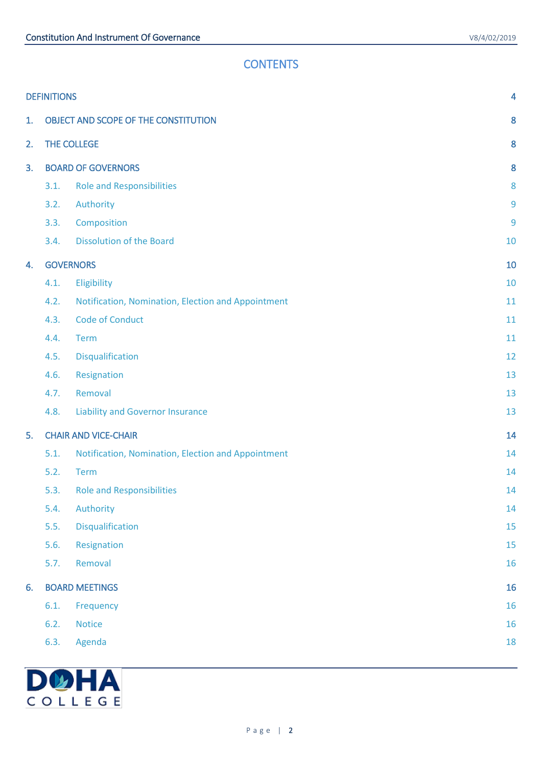## **CONTENTS**

|    | <b>DEFINITIONS</b>                   |                                                    | 4  |
|----|--------------------------------------|----------------------------------------------------|----|
| 1. | OBJECT AND SCOPE OF THE CONSTITUTION |                                                    |    |
| 2. | THE COLLEGE                          |                                                    | 8  |
| 3. | <b>BOARD OF GOVERNORS</b>            |                                                    | 8  |
|    | 3.1.                                 | <b>Role and Responsibilities</b>                   | 8  |
|    | 3.2.                                 | Authority                                          | 9  |
|    | 3.3.                                 | Composition                                        | 9  |
|    | 3.4.                                 | <b>Dissolution of the Board</b>                    | 10 |
| 4. | <b>GOVERNORS</b>                     |                                                    | 10 |
|    | 4.1.                                 | Eligibility                                        | 10 |
|    | 4.2.                                 | Notification, Nomination, Election and Appointment | 11 |
|    | 4.3.                                 | <b>Code of Conduct</b>                             | 11 |
|    | 4.4.                                 | Term                                               | 11 |
|    | 4.5.                                 | Disqualification                                   | 12 |
|    | 4.6.                                 | Resignation                                        | 13 |
|    | 4.7.                                 | Removal                                            | 13 |
|    | 4.8.                                 | <b>Liability and Governor Insurance</b>            | 13 |
| 5. | <b>CHAIR AND VICE-CHAIR</b>          |                                                    | 14 |
|    | 5.1.                                 | Notification, Nomination, Election and Appointment | 14 |
|    | 5.2.                                 | <b>Term</b>                                        | 14 |
|    |                                      | 5.3. Role and Responsibilities                     | 14 |
|    | 5.4.                                 | Authority                                          | 14 |
|    | 5.5.                                 | <b>Disqualification</b>                            | 15 |
|    | 5.6.                                 | Resignation                                        | 15 |
|    | 5.7.                                 | Removal                                            | 16 |
| 6. | <b>BOARD MEETINGS</b>                |                                                    | 16 |
|    | 6.1.                                 | Frequency                                          | 16 |
|    | 6.2.                                 | <b>Notice</b>                                      | 16 |
|    | 6.3.                                 | Agenda                                             | 18 |
|    |                                      |                                                    |    |

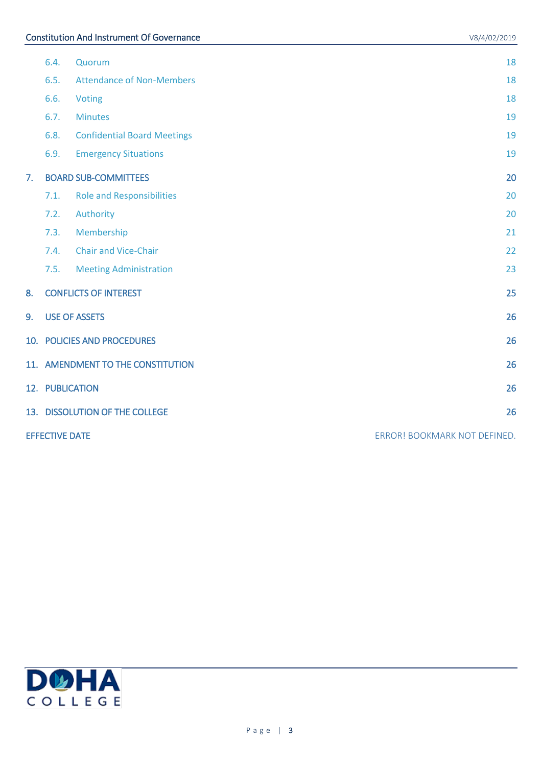|    | 6.4.                              | Quorum                             | 18                           |
|----|-----------------------------------|------------------------------------|------------------------------|
|    | 6.5.                              | <b>Attendance of Non-Members</b>   | 18                           |
|    | 6.6.                              | Voting                             | 18                           |
|    | 6.7.                              | <b>Minutes</b>                     | 19                           |
|    | 6.8.                              | <b>Confidential Board Meetings</b> | 19                           |
|    | 6.9.                              | <b>Emergency Situations</b>        | 19                           |
| 7. |                                   | <b>BOARD SUB-COMMITTEES</b>        | 20                           |
|    | 7.1.                              | <b>Role and Responsibilities</b>   | 20                           |
|    | 7.2.                              | Authority                          | 20                           |
|    | 7.3.                              | Membership                         | 21                           |
|    | 7.4.                              | <b>Chair and Vice-Chair</b>        | 22                           |
|    | 7.5.                              | <b>Meeting Administration</b>      | 23                           |
| 8. |                                   | <b>CONFLICTS OF INTEREST</b>       | 25                           |
| 9. |                                   | <b>USE OF ASSETS</b>               | 26                           |
|    | 10. POLICIES AND PROCEDURES<br>26 |                                    |                              |
|    | 11. AMENDMENT TO THE CONSTITUTION |                                    | 26                           |
|    | 12. PUBLICATION                   |                                    | 26                           |
|    |                                   | 13. DISSOLUTION OF THE COLLEGE     | 26                           |
|    | <b>EFFECTIVE DATE</b>             |                                    | ERROR! BOOKMARK NOT DEFINED. |

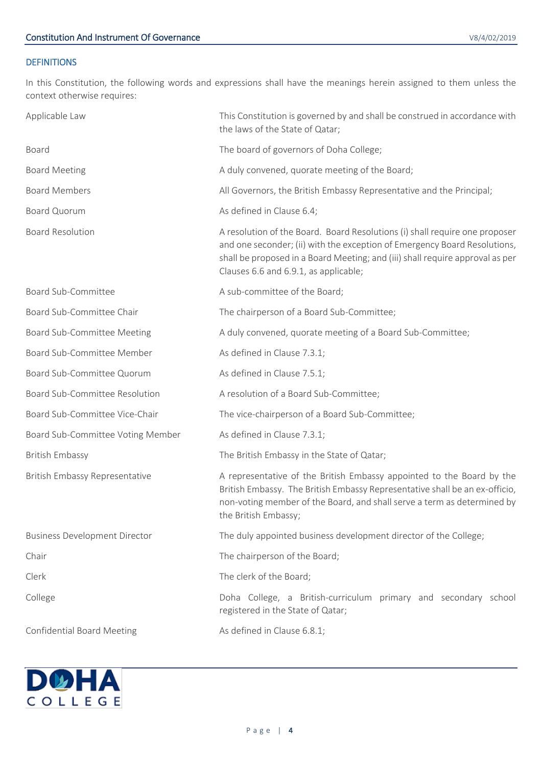## <span id="page-3-0"></span>**DEFINITIONS**

In this Constitution, the following words and expressions shall have the meanings herein assigned to them unless the context otherwise requires:

| Applicable Law                        | This Constitution is governed by and shall be construed in accordance with<br>the laws of the State of Qatar;                                                                                                                                                                      |
|---------------------------------------|------------------------------------------------------------------------------------------------------------------------------------------------------------------------------------------------------------------------------------------------------------------------------------|
| Board                                 | The board of governors of Doha College;                                                                                                                                                                                                                                            |
| <b>Board Meeting</b>                  | A duly convened, quorate meeting of the Board;                                                                                                                                                                                                                                     |
| <b>Board Members</b>                  | All Governors, the British Embassy Representative and the Principal;                                                                                                                                                                                                               |
| <b>Board Quorum</b>                   | As defined in Clause 6.4;                                                                                                                                                                                                                                                          |
| <b>Board Resolution</b>               | A resolution of the Board. Board Resolutions (i) shall require one proposer<br>and one seconder; (ii) with the exception of Emergency Board Resolutions,<br>shall be proposed in a Board Meeting; and (iii) shall require approval as per<br>Clauses 6.6 and 6.9.1, as applicable; |
| <b>Board Sub-Committee</b>            | A sub-committee of the Board;                                                                                                                                                                                                                                                      |
| Board Sub-Committee Chair             | The chairperson of a Board Sub-Committee;                                                                                                                                                                                                                                          |
| Board Sub-Committee Meeting           | A duly convened, quorate meeting of a Board Sub-Committee;                                                                                                                                                                                                                         |
| Board Sub-Committee Member            | As defined in Clause 7.3.1;                                                                                                                                                                                                                                                        |
| Board Sub-Committee Quorum            | As defined in Clause 7.5.1;                                                                                                                                                                                                                                                        |
| <b>Board Sub-Committee Resolution</b> | A resolution of a Board Sub-Committee;                                                                                                                                                                                                                                             |
| Board Sub-Committee Vice-Chair        | The vice-chairperson of a Board Sub-Committee;                                                                                                                                                                                                                                     |
| Board Sub-Committee Voting Member     | As defined in Clause 7.3.1;                                                                                                                                                                                                                                                        |
| <b>British Embassy</b>                | The British Embassy in the State of Qatar;                                                                                                                                                                                                                                         |
| British Embassy Representative        | A representative of the British Embassy appointed to the Board by the<br>British Embassy. The British Embassy Representative shall be an ex-officio,<br>non-voting member of the Board, and shall serve a term as determined by<br>the British Embassy;                            |
| <b>Business Development Director</b>  | The duly appointed business development director of the College;                                                                                                                                                                                                                   |
| Chair                                 | The chairperson of the Board;                                                                                                                                                                                                                                                      |
| Clerk                                 | The clerk of the Board;                                                                                                                                                                                                                                                            |
| College                               | Doha College, a British-curriculum primary and secondary school<br>registered in the State of Qatar;                                                                                                                                                                               |
| <b>Confidential Board Meeting</b>     | As defined in Clause 6.8.1;                                                                                                                                                                                                                                                        |

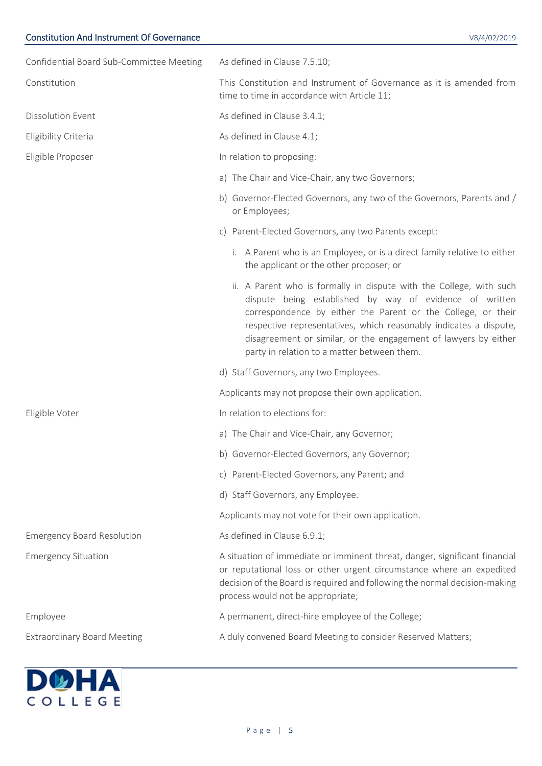| Confidential Board Sub-Committee Meeting | As defined in Clause 7.5.10;                                                                                                                                                                                                                                                                                                                                                          |  |  |
|------------------------------------------|---------------------------------------------------------------------------------------------------------------------------------------------------------------------------------------------------------------------------------------------------------------------------------------------------------------------------------------------------------------------------------------|--|--|
| Constitution                             | This Constitution and Instrument of Governance as it is amended from<br>time to time in accordance with Article 11;                                                                                                                                                                                                                                                                   |  |  |
| <b>Dissolution Event</b>                 | As defined in Clause 3.4.1;                                                                                                                                                                                                                                                                                                                                                           |  |  |
| Eligibility Criteria                     | As defined in Clause 4.1;                                                                                                                                                                                                                                                                                                                                                             |  |  |
| Eligible Proposer                        | In relation to proposing:                                                                                                                                                                                                                                                                                                                                                             |  |  |
|                                          | a) The Chair and Vice-Chair, any two Governors;                                                                                                                                                                                                                                                                                                                                       |  |  |
|                                          | b) Governor-Elected Governors, any two of the Governors, Parents and /<br>or Employees;                                                                                                                                                                                                                                                                                               |  |  |
|                                          | c) Parent-Elected Governors, any two Parents except:                                                                                                                                                                                                                                                                                                                                  |  |  |
|                                          | i. A Parent who is an Employee, or is a direct family relative to either<br>the applicant or the other proposer; or                                                                                                                                                                                                                                                                   |  |  |
|                                          | ii. A Parent who is formally in dispute with the College, with such<br>dispute being established by way of evidence of written<br>correspondence by either the Parent or the College, or their<br>respective representatives, which reasonably indicates a dispute,<br>disagreement or similar, or the engagement of lawyers by either<br>party in relation to a matter between them. |  |  |
|                                          | d) Staff Governors, any two Employees.                                                                                                                                                                                                                                                                                                                                                |  |  |
|                                          | Applicants may not propose their own application.                                                                                                                                                                                                                                                                                                                                     |  |  |
| Eligible Voter                           | In relation to elections for:                                                                                                                                                                                                                                                                                                                                                         |  |  |
|                                          | a) The Chair and Vice-Chair, any Governor;                                                                                                                                                                                                                                                                                                                                            |  |  |
|                                          | b) Governor-Elected Governors, any Governor;                                                                                                                                                                                                                                                                                                                                          |  |  |
|                                          | c) Parent-Elected Governors, any Parent; and                                                                                                                                                                                                                                                                                                                                          |  |  |
|                                          | d) Staff Governors, any Employee.                                                                                                                                                                                                                                                                                                                                                     |  |  |
|                                          | Applicants may not vote for their own application.                                                                                                                                                                                                                                                                                                                                    |  |  |
| <b>Emergency Board Resolution</b>        | As defined in Clause 6.9.1;                                                                                                                                                                                                                                                                                                                                                           |  |  |
| <b>Emergency Situation</b>               | A situation of immediate or imminent threat, danger, significant financial<br>or reputational loss or other urgent circumstance where an expedited<br>decision of the Board is required and following the normal decision-making<br>process would not be appropriate;                                                                                                                 |  |  |
| Employee                                 | A permanent, direct-hire employee of the College;                                                                                                                                                                                                                                                                                                                                     |  |  |
| <b>Extraordinary Board Meeting</b>       | A duly convened Board Meeting to consider Reserved Matters;                                                                                                                                                                                                                                                                                                                           |  |  |

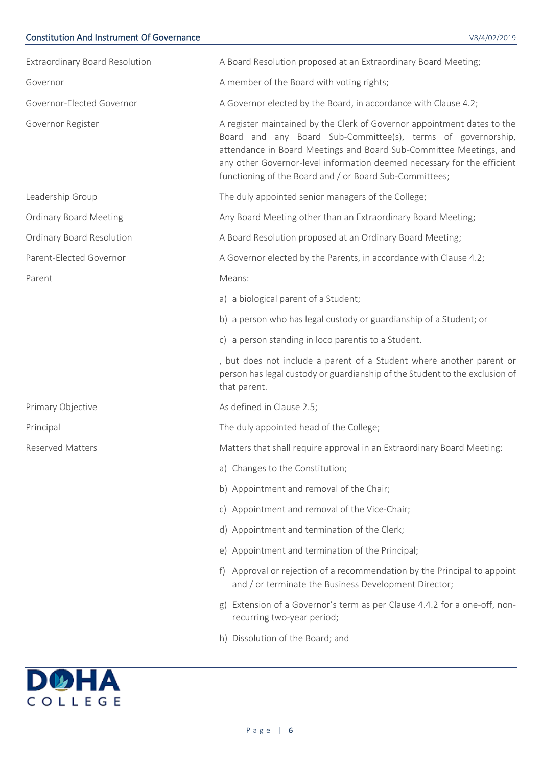| <b>Extraordinary Board Resolution</b> | A Board Resolution proposed at an Extraordinary Board Meeting;                                                                                                                                                                                                                                                                                      |
|---------------------------------------|-----------------------------------------------------------------------------------------------------------------------------------------------------------------------------------------------------------------------------------------------------------------------------------------------------------------------------------------------------|
| Governor                              | A member of the Board with voting rights;                                                                                                                                                                                                                                                                                                           |
| Governor-Elected Governor             | A Governor elected by the Board, in accordance with Clause 4.2;                                                                                                                                                                                                                                                                                     |
| Governor Register                     | A register maintained by the Clerk of Governor appointment dates to the<br>Board and any Board Sub-Committee(s), terms of governorship,<br>attendance in Board Meetings and Board Sub-Committee Meetings, and<br>any other Governor-level information deemed necessary for the efficient<br>functioning of the Board and / or Board Sub-Committees; |
| Leadership Group                      | The duly appointed senior managers of the College;                                                                                                                                                                                                                                                                                                  |
| <b>Ordinary Board Meeting</b>         | Any Board Meeting other than an Extraordinary Board Meeting;                                                                                                                                                                                                                                                                                        |
| Ordinary Board Resolution             | A Board Resolution proposed at an Ordinary Board Meeting;                                                                                                                                                                                                                                                                                           |
| Parent-Elected Governor               | A Governor elected by the Parents, in accordance with Clause 4.2;                                                                                                                                                                                                                                                                                   |
| Parent                                | Means:                                                                                                                                                                                                                                                                                                                                              |
|                                       | a) a biological parent of a Student;                                                                                                                                                                                                                                                                                                                |
|                                       | b) a person who has legal custody or guardianship of a Student; or                                                                                                                                                                                                                                                                                  |
|                                       | c) a person standing in loco parentis to a Student.                                                                                                                                                                                                                                                                                                 |
|                                       | , but does not include a parent of a Student where another parent or<br>person has legal custody or guardianship of the Student to the exclusion of<br>that parent.                                                                                                                                                                                 |
| Primary Objective                     | As defined in Clause 2.5;                                                                                                                                                                                                                                                                                                                           |
| Principal                             | The duly appointed head of the College;                                                                                                                                                                                                                                                                                                             |
| <b>Reserved Matters</b>               | Matters that shall require approval in an Extraordinary Board Meeting:                                                                                                                                                                                                                                                                              |
|                                       | a) Changes to the Constitution;                                                                                                                                                                                                                                                                                                                     |
|                                       | b) Appointment and removal of the Chair;                                                                                                                                                                                                                                                                                                            |
|                                       | c) Appointment and removal of the Vice-Chair;                                                                                                                                                                                                                                                                                                       |
|                                       | d) Appointment and termination of the Clerk;                                                                                                                                                                                                                                                                                                        |
|                                       | e) Appointment and termination of the Principal;                                                                                                                                                                                                                                                                                                    |
|                                       | Approval or rejection of a recommendation by the Principal to appoint<br>and / or terminate the Business Development Director;                                                                                                                                                                                                                      |
|                                       | Extension of a Governor's term as per Clause 4.4.2 for a one-off, non-<br>g)<br>recurring two-year period;                                                                                                                                                                                                                                          |
|                                       | h) Dissolution of the Board; and                                                                                                                                                                                                                                                                                                                    |

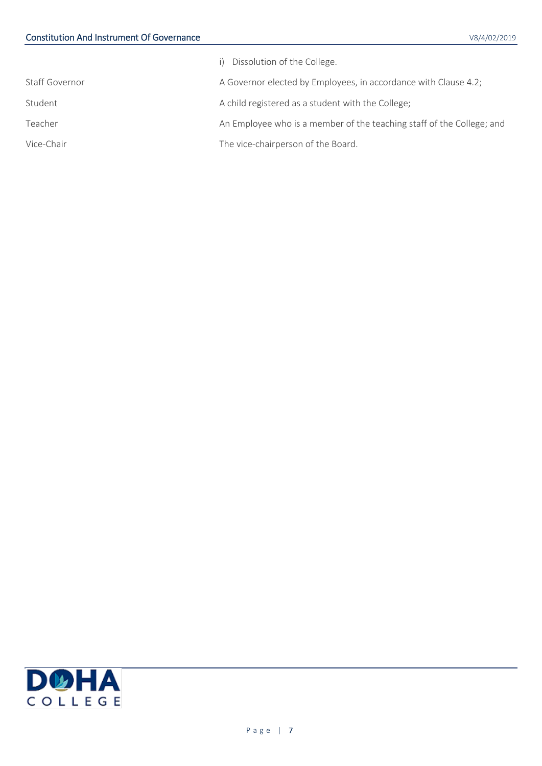|                | i) Dissolution of the College.                                        |
|----------------|-----------------------------------------------------------------------|
| Staff Governor | A Governor elected by Employees, in accordance with Clause 4.2;       |
| Student        | A child registered as a student with the College;                     |
| Teacher        | An Employee who is a member of the teaching staff of the College; and |
| Vice-Chair     | The vice-chairperson of the Board.                                    |
|                |                                                                       |

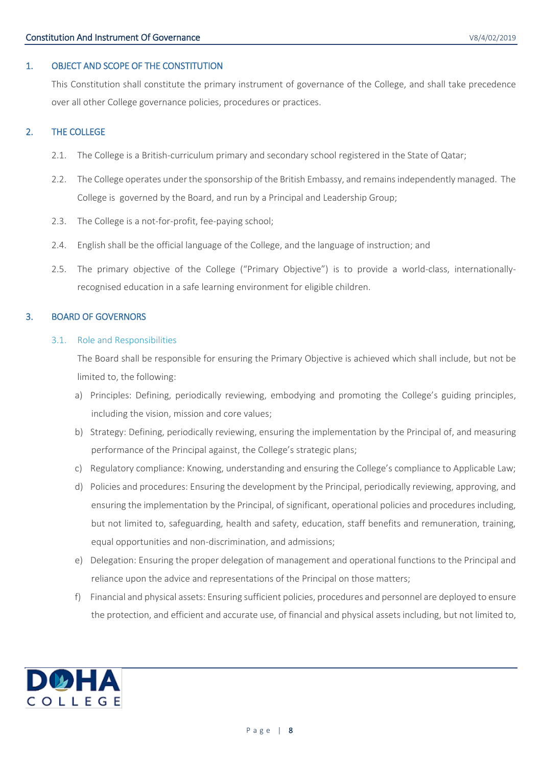## <span id="page-7-0"></span>1. OBJECT AND SCOPE OF THE CONSTITUTION

This Constitution shall constitute the primary instrument of governance of the College, and shall take precedence over all other College governance policies, procedures or practices.

## <span id="page-7-1"></span>2. THE COLLEGE

- 2.1. The College is a British-curriculum primary and secondary school registered in the State of Qatar;
- 2.2. The College operates under the sponsorship of the British Embassy, and remains independently managed. The College is governed by the Board, and run by a Principal and Leadership Group;
- 2.3. The College is a not-for-profit, fee-paying school;
- 2.4. English shall be the official language of the College, and the language of instruction; and
- <span id="page-7-4"></span>2.5. The primary objective of the College ("Primary Objective") is to provide a world-class, internationallyrecognised education in a safe learning environment for eligible children.

## <span id="page-7-3"></span><span id="page-7-2"></span>3. BOARD OF GOVERNORS

## 3.1. Role and Responsibilities

The Board shall be responsible for ensuring the Primary Objective is achieved which shall include, but not be limited to, the following:

- a) Principles: Defining, periodically reviewing, embodying and promoting the College's guiding principles, including the vision, mission and core values;
- b) Strategy: Defining, periodically reviewing, ensuring the implementation by the Principal of, and measuring performance of the Principal against, the College's strategic plans;
- c) Regulatory compliance: Knowing, understanding and ensuring the College's compliance to Applicable Law;
- d) Policies and procedures: Ensuring the development by the Principal, periodically reviewing, approving, and ensuring the implementation by the Principal, of significant, operational policies and procedures including, but not limited to, safeguarding, health and safety, education, staff benefits and remuneration, training, equal opportunities and non-discrimination, and admissions;
- e) Delegation: Ensuring the proper delegation of management and operational functions to the Principal and reliance upon the advice and representations of the Principal on those matters;
- f) Financial and physical assets: Ensuring sufficient policies, procedures and personnel are deployed to ensure the protection, and efficient and accurate use, of financial and physical assets including, but not limited to,

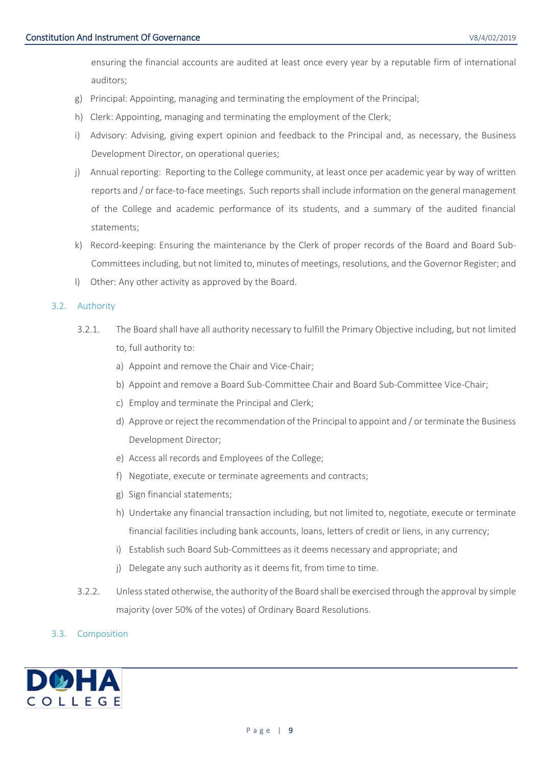ensuring the financial accounts are audited at least once every year by a reputable firm of international auditors;

- g) Principal: Appointing, managing and terminating the employment of the Principal;
- h) Clerk: Appointing, managing and terminating the employment of the Clerk;
- i) Advisory: Advising, giving expert opinion and feedback to the Principal and, as necessary, the Business Development Director, on operational queries;
- j) Annual reporting: Reporting to the College community, at least once per academic year by way of written reports and / or face-to-face meetings. Such reports shall include information on the general management of the College and academic performance of its students, and a summary of the audited financial statements;
- k) Record-keeping: Ensuring the maintenance by the Clerk of proper records of the Board and Board Sub-Committees including, but not limited to, minutes of meetings, resolutions, and the Governor Register; and
- l) Other: Any other activity as approved by the Board.

## <span id="page-8-0"></span>3.2. Authority

- 3.2.1. The Board shall have all authority necessary to fulfill the Primary Objective including, but not limited to, full authority to:
	- a) Appoint and remove the Chair and Vice-Chair;
	- b) Appoint and remove a Board Sub-Committee Chair and Board Sub-Committee Vice-Chair;
	- c) Employ and terminate the Principal and Clerk;
	- d) Approve or reject the recommendation of the Principal to appoint and / or terminate the Business Development Director;
	- e) Access all records and Employees of the College;
	- f) Negotiate, execute or terminate agreements and contracts;
	- g) Sign financial statements;
	- h) Undertake any financial transaction including, but not limited to, negotiate, execute or terminate financial facilities including bank accounts, loans, letters of credit or liens, in any currency;
	- i) Establish such Board Sub-Committees as it deems necessary and appropriate; and
	- j) Delegate any such authority as it deems fit, from time to time.
- 3.2.2. Unless stated otherwise, the authority of the Board shall be exercised through the approval by simple majority (over 50% of the votes) of Ordinary Board Resolutions.

## <span id="page-8-1"></span>3.3. Composition

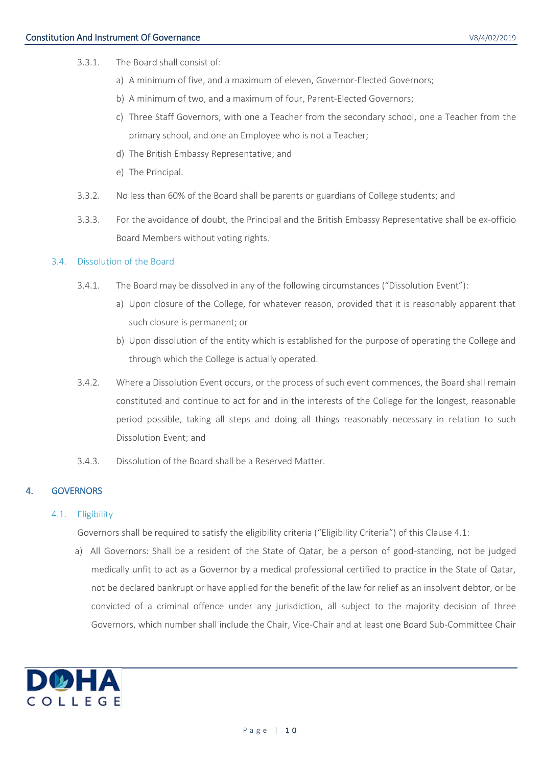- 3.3.1. The Board shall consist of:
	- a) A minimum of five, and a maximum of eleven, Governor-Elected Governors;
	- b) A minimum of two, and a maximum of four, Parent-Elected Governors;
	- c) Three Staff Governors, with one a Teacher from the secondary school, one a Teacher from the primary school, and one an Employee who is not a Teacher;
	- d) The British Embassy Representative; and
	- e) The Principal.
- 3.3.2. No less than 60% of the Board shall be parents or guardians of College students; and
- 3.3.3. For the avoidance of doubt, the Principal and the British Embassy Representative shall be ex-officio Board Members without voting rights.

#### <span id="page-9-3"></span><span id="page-9-0"></span>3.4. Dissolution of the Board

- 3.4.1. The Board may be dissolved in any of the following circumstances ("Dissolution Event"):
	- a) Upon closure of the College, for whatever reason, provided that it is reasonably apparent that such closure is permanent; or
	- b) Upon dissolution of the entity which is established for the purpose of operating the College and through which the College is actually operated.
- 3.4.2. Where a Dissolution Event occurs, or the process of such event commences, the Board shall remain constituted and continue to act for and in the interests of the College for the longest, reasonable period possible, taking all steps and doing all things reasonably necessary in relation to such Dissolution Event; and
- 3.4.3. Dissolution of the Board shall be a Reserved Matter.

## <span id="page-9-2"></span><span id="page-9-1"></span>4. GOVERNORS

#### 4.1. Eligibility

Governors shall be required to satisfy the eligibility criteria ("Eligibility Criteria") of this Clause [4.1:](#page-9-2)

a) All Governors: Shall be a resident of the State of Qatar, be a person of good-standing, not be judged medically unfit to act as a Governor by a medical professional certified to practice in the State of Qatar, not be declared bankrupt or have applied for the benefit of the law for relief as an insolvent debtor, or be convicted of a criminal offence under any jurisdiction, all subject to the majority decision of three Governors, which number shall include the Chair, Vice-Chair and at least one Board Sub-Committee Chair

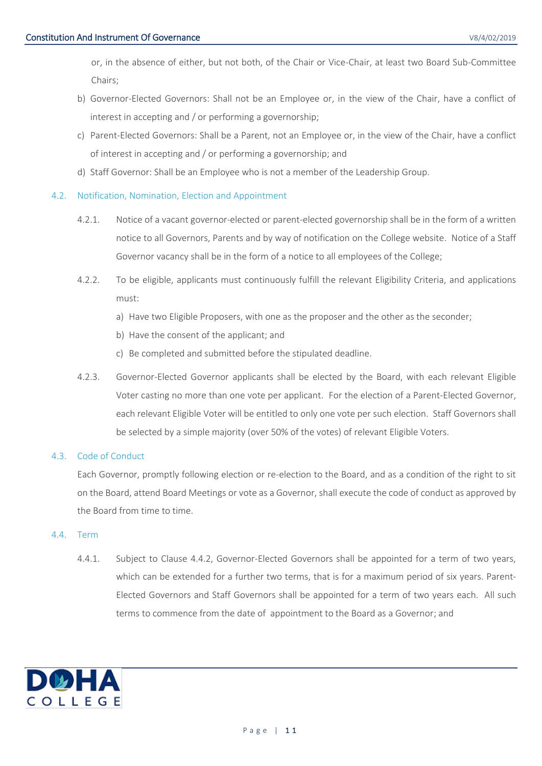or, in the absence of either, but not both, of the Chair or Vice-Chair, at least two Board Sub-Committee Chairs;

- b) Governor-Elected Governors: Shall not be an Employee or, in the view of the Chair, have a conflict of interest in accepting and / or performing a governorship;
- c) Parent-Elected Governors: Shall be a Parent, not an Employee or, in the view of the Chair, have a conflict of interest in accepting and / or performing a governorship; and
- d) Staff Governor: Shall be an Employee who is not a member of the Leadership Group.

## <span id="page-10-0"></span>4.2. Notification, Nomination, Election and Appointment

- 4.2.1. Notice of a vacant governor-elected or parent-elected governorship shall be in the form of a written notice to all Governors, Parents and by way of notification on the College website. Notice of a Staff Governor vacancy shall be in the form of a notice to all employees of the College;
- 4.2.2. To be eligible, applicants must continuously fulfill the relevant Eligibility Criteria, and applications must:
	- a) Have two Eligible Proposers, with one as the proposer and the other as the seconder;
	- b) Have the consent of the applicant; and
	- c) Be completed and submitted before the stipulated deadline.
- 4.2.3. Governor-Elected Governor applicants shall be elected by the Board, with each relevant Eligible Voter casting no more than one vote per applicant. For the election of a Parent-Elected Governor, each relevant Eligible Voter will be entitled to only one vote per such election. Staff Governors shall be selected by a simple majority (over 50% of the votes) of relevant Eligible Voters.

## <span id="page-10-1"></span>4.3. Code of Conduct

Each Governor, promptly following election or re-election to the Board, and as a condition of the right to sit on the Board, attend Board Meetings or vote as a Governor, shall execute the code of conduct as approved by the Board from time to time.

## <span id="page-10-2"></span>4.4. Term

4.4.1. Subject to Clause [4.4.2,](#page-11-1) Governor-Elected Governors shall be appointed for a term of two years, which can be extended for a further two terms, that is for a maximum period of six years. Parent-Elected Governors and Staff Governors shall be appointed for a term of two years each. All such terms to commence from the date of appointment to the Board as a Governor; and

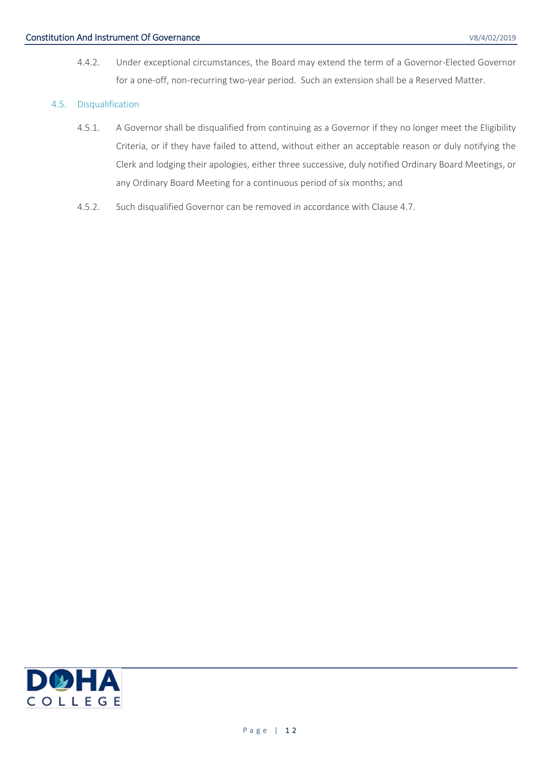4.4.2. Under exceptional circumstances, the Board may extend the term of a Governor-Elected Governor for a one-off, non-recurring two-year period. Such an extension shall be a Reserved Matter.

## <span id="page-11-1"></span><span id="page-11-0"></span>4.5. Disqualification

- 4.5.1. A Governor shall be disqualified from continuing as a Governor if they no longer meet the Eligibility Criteria, or if they have failed to attend, without either an acceptable reason or duly notifying the Clerk and lodging their apologies, either three successive, duly notified Ordinary Board Meetings, or any Ordinary Board Meeting for a continuous period of six months; and
- 4.5.2. Such disqualified Governor can be removed in accordance with Clause [4.7.](#page-12-1)

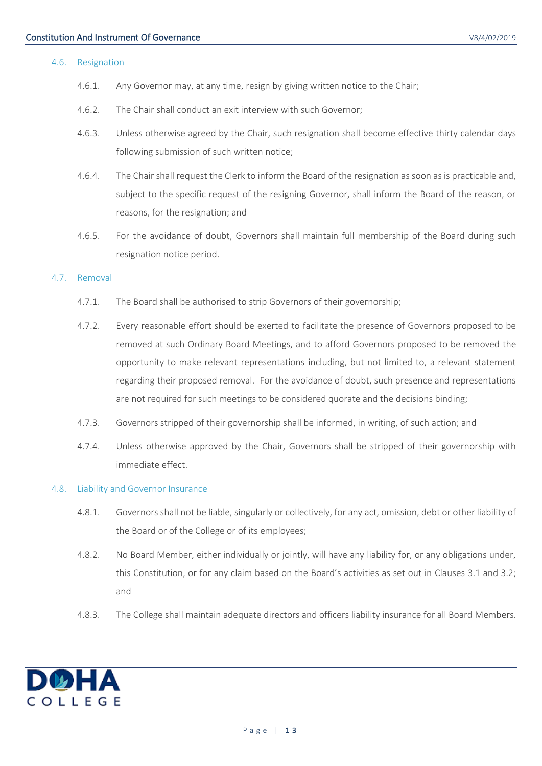#### <span id="page-12-0"></span>4.6. Resignation

- 4.6.1. Any Governor may, at any time, resign by giving written notice to the Chair;
- 4.6.2. The Chair shall conduct an exit interview with such Governor;
- 4.6.3. Unless otherwise agreed by the Chair, such resignation shall become effective thirty calendar days following submission of such written notice;
- 4.6.4. The Chair shall request the Clerk to inform the Board of the resignation as soon as is practicable and, subject to the specific request of the resigning Governor, shall inform the Board of the reason, or reasons, for the resignation; and
- 4.6.5. For the avoidance of doubt, Governors shall maintain full membership of the Board during such resignation notice period.

#### <span id="page-12-1"></span>4.7. Removal

- 4.7.1. The Board shall be authorised to strip Governors of their governorship;
- 4.7.2. Every reasonable effort should be exerted to facilitate the presence of Governors proposed to be removed at such Ordinary Board Meetings, and to afford Governors proposed to be removed the opportunity to make relevant representations including, but not limited to, a relevant statement regarding their proposed removal. For the avoidance of doubt, such presence and representations are not required for such meetings to be considered quorate and the decisions binding;
- 4.7.3. Governors stripped of their governorship shall be informed, in writing, of such action; and
- 4.7.4. Unless otherwise approved by the Chair, Governors shall be stripped of their governorship with immediate effect.

#### <span id="page-12-2"></span>4.8. Liability and Governor Insurance

- 4.8.1. Governors shall not be liable, singularly or collectively, for any act, omission, debt or other liability of the Board or of the College or of its employees;
- 4.8.2. No Board Member, either individually or jointly, will have any liability for, or any obligations under, this Constitution, or for any claim based on the Board's activities as set out in Clauses [3.1](#page-7-3) and [3.2;](#page-8-0) and
- 4.8.3. The College shall maintain adequate directors and officers liability insurance for all Board Members.

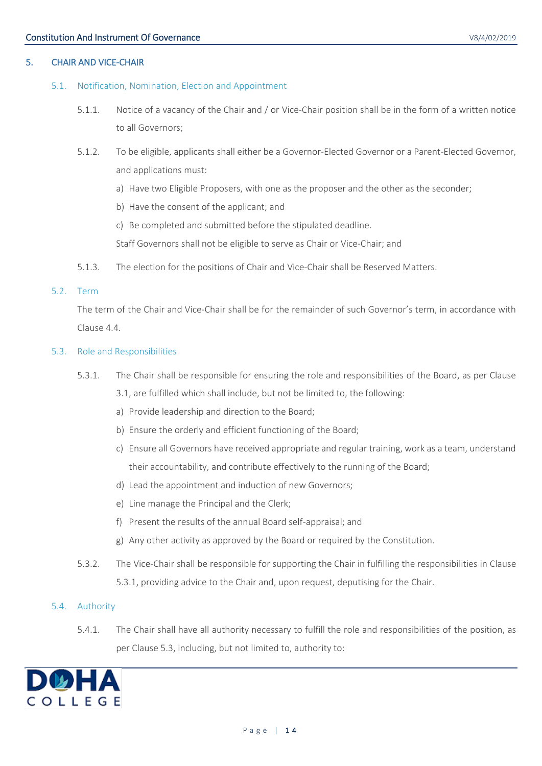## <span id="page-13-1"></span><span id="page-13-0"></span>5.1. Notification, Nomination, Election and Appointment

- 5.1.1. Notice of a vacancy of the Chair and / or Vice-Chair position shall be in the form of a written notice to all Governors;
- 5.1.2. To be eligible, applicants shall either be a Governor-Elected Governor or a Parent-Elected Governor, and applications must:
	- a) Have two Eligible Proposers, with one as the proposer and the other as the seconder;
	- b) Have the consent of the applicant; and
	- c) Be completed and submitted before the stipulated deadline.

Staff Governors shall not be eligible to serve as Chair or Vice-Chair; and

5.1.3. The election for the positions of Chair and Vice-Chair shall be Reserved Matters.

#### <span id="page-13-2"></span>5.2. Term

The term of the Chair and Vice-Chair shall be for the remainder of such Governor's term, in accordance with Clause [4.4.](#page-10-2)

#### <span id="page-13-5"></span><span id="page-13-3"></span>5.3. Role and Responsibilities

- 5.3.1. The Chair shall be responsible for ensuring the role and responsibilities of the Board, as per Clause [3.1,](#page-7-3) are fulfilled which shall include, but not be limited to, the following:
	- a) Provide leadership and direction to the Board;
	- b) Ensure the orderly and efficient functioning of the Board;
	- c) Ensure all Governors have received appropriate and regular training, work as a team, understand their accountability, and contribute effectively to the running of the Board;
	- d) Lead the appointment and induction of new Governors;
	- e) Line manage the Principal and the Clerk;
	- f) Present the results of the annual Board self-appraisal; and
	- g) Any other activity as approved by the Board or required by the Constitution.
- 5.3.2. The Vice-Chair shall be responsible for supporting the Chair in fulfilling the responsibilities in Clause [5.3.1,](#page-13-5) providing advice to the Chair and, upon request, deputising for the Chair.

#### <span id="page-13-4"></span>5.4. Authority

5.4.1. The Chair shall have all authority necessary to fulfill the role and responsibilities of the position, as per Claus[e 5.3,](#page-13-3) including, but not limited to, authority to:

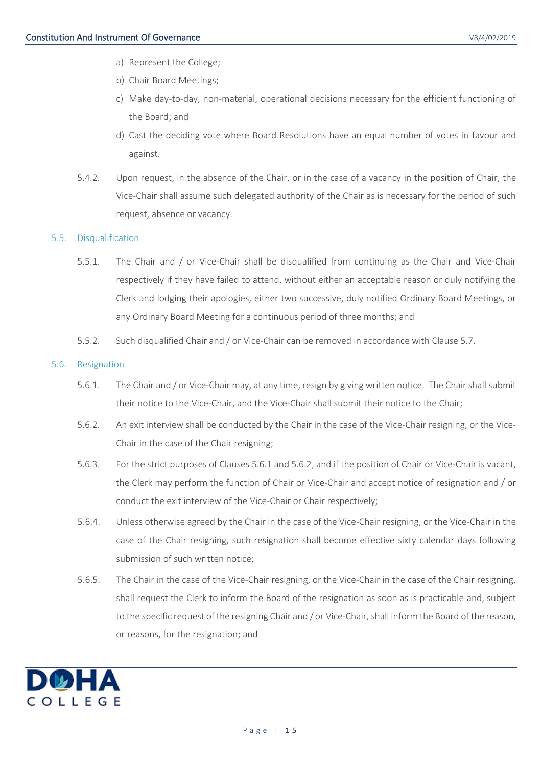- a) Represent the College;
- b) Chair Board Meetings;
- c) Make day-to-day, non-material, operational decisions necessary for the efficient functioning of the Board; and
- d) Cast the deciding vote where Board Resolutions have an equal number of votes in favour and against.
- <span id="page-14-4"></span>5.4.2. Upon request, in the absence of the Chair, or in the case of a vacancy in the position of Chair, the Vice-Chair shall assume such delegated authority of the Chair as is necessary for the period of such request, absence or vacancy.

## <span id="page-14-0"></span>5.5. Disqualification

- 5.5.1. The Chair and / or Vice-Chair shall be disqualified from continuing as the Chair and Vice-Chair respectively if they have failed to attend, without either an acceptable reason or duly notifying the Clerk and lodging their apologies, either two successive, duly notified Ordinary Board Meetings, or any Ordinary Board Meeting for a continuous period of three months; and
- 5.5.2. Such disqualified Chair and / or Vice-Chair can be removed in accordance with Clause [5.7.](#page-15-0)

## <span id="page-14-2"></span><span id="page-14-1"></span>5.6. Resignation

- 5.6.1. The Chair and / or Vice-Chair may, at any time, resign by giving written notice. The Chair shall submit their notice to the Vice-Chair, and the Vice-Chair shall submit their notice to the Chair;
- <span id="page-14-3"></span>5.6.2. An exit interview shall be conducted by the Chair in the case of the Vice-Chair resigning, or the Vice-Chair in the case of the Chair resigning;
- 5.6.3. For the strict purposes of Clause[s 5.6.1](#page-14-2) and [5.6.2,](#page-14-3) and if the position of Chair or Vice-Chair is vacant, the Clerk may perform the function of Chair or Vice-Chair and accept notice of resignation and / or conduct the exit interview of the Vice-Chair or Chair respectively;
- 5.6.4. Unless otherwise agreed by the Chair in the case of the Vice-Chair resigning, or the Vice-Chair in the case of the Chair resigning, such resignation shall become effective sixty calendar days following submission of such written notice;
- 5.6.5. The Chair in the case of the Vice-Chair resigning, or the Vice-Chair in the case of the Chair resigning, shall request the Clerk to inform the Board of the resignation as soon as is practicable and, subject to the specific request of the resigning Chair and / or Vice-Chair, shall inform the Board of the reason, or reasons, for the resignation; and

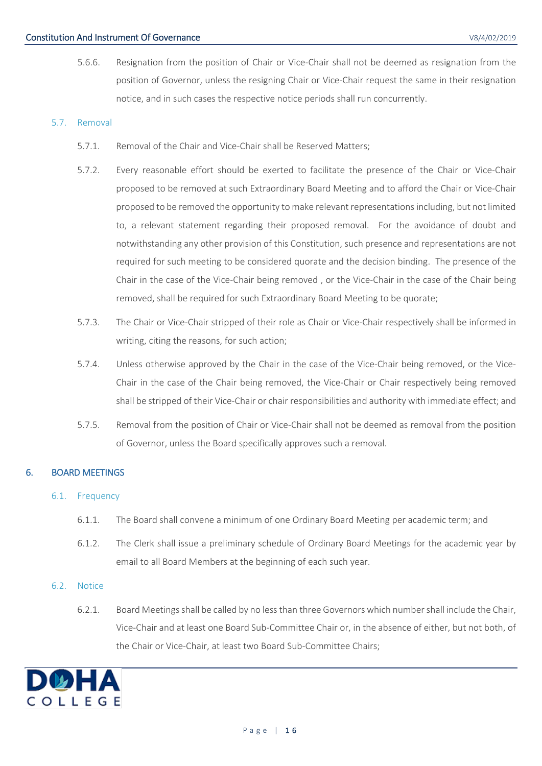5.6.6. Resignation from the position of Chair or Vice-Chair shall not be deemed as resignation from the position of Governor, unless the resigning Chair or Vice-Chair request the same in their resignation notice, and in such cases the respective notice periods shall run concurrently.

## <span id="page-15-4"></span><span id="page-15-0"></span>5.7. Removal

- 5.7.1. Removal of the Chair and Vice-Chair shall be Reserved Matters;
- 5.7.2. Every reasonable effort should be exerted to facilitate the presence of the Chair or Vice-Chair proposed to be removed at such Extraordinary Board Meeting and to afford the Chair or Vice-Chair proposed to be removed the opportunity to make relevant representations including, but not limited to, a relevant statement regarding their proposed removal. For the avoidance of doubt and notwithstanding any other provision of this Constitution, such presence and representations are not required for such meeting to be considered quorate and the decision binding. The presence of the Chair in the case of the Vice-Chair being removed , or the Vice-Chair in the case of the Chair being removed, shall be required for such Extraordinary Board Meeting to be quorate;
- 5.7.3. The Chair or Vice-Chair stripped of their role as Chair or Vice-Chair respectively shall be informed in writing, citing the reasons, for such action;
- 5.7.4. Unless otherwise approved by the Chair in the case of the Vice-Chair being removed, or the Vice-Chair in the case of the Chair being removed, the Vice-Chair or Chair respectively being removed shall be stripped of their Vice-Chair or chair responsibilities and authority with immediate effect; and
- 5.7.5. Removal from the position of Chair or Vice-Chair shall not be deemed as removal from the position of Governor, unless the Board specifically approves such a removal.

## <span id="page-15-2"></span><span id="page-15-1"></span>6. BOARD MEETINGS

## 6.1. Frequency

- 6.1.1. The Board shall convene a minimum of one Ordinary Board Meeting per academic term; and
- 6.1.2. The Clerk shall issue a preliminary schedule of Ordinary Board Meetings for the academic year by email to all Board Members at the beginning of each such year.

#### <span id="page-15-3"></span>6.2. Notice

6.2.1. Board Meetings shall be called by no less than three Governors which number shall include the Chair, Vice-Chair and at least one Board Sub-Committee Chair or, in the absence of either, but not both, of the Chair or Vice-Chair, at least two Board Sub-Committee Chairs;

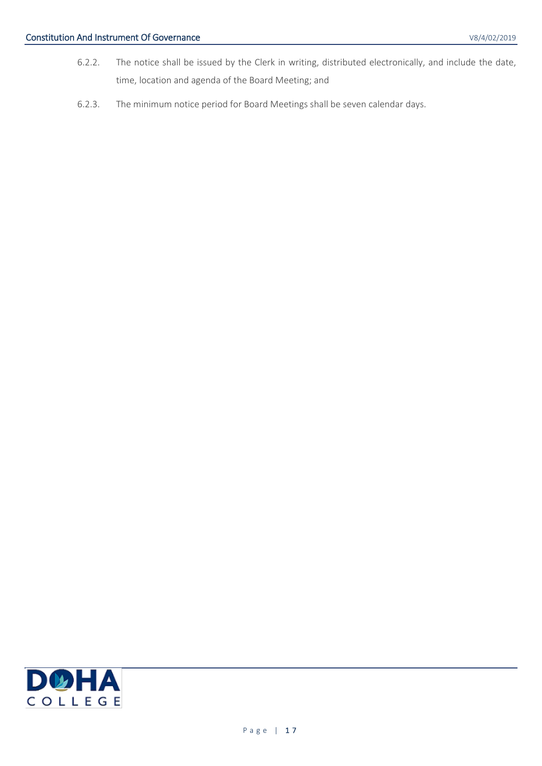- 6.2.2. The notice shall be issued by the Clerk in writing, distributed electronically, and include the date, time, location and agenda of the Board Meeting; and
- 6.2.3. The minimum notice period for Board Meetings shall be seven calendar days.

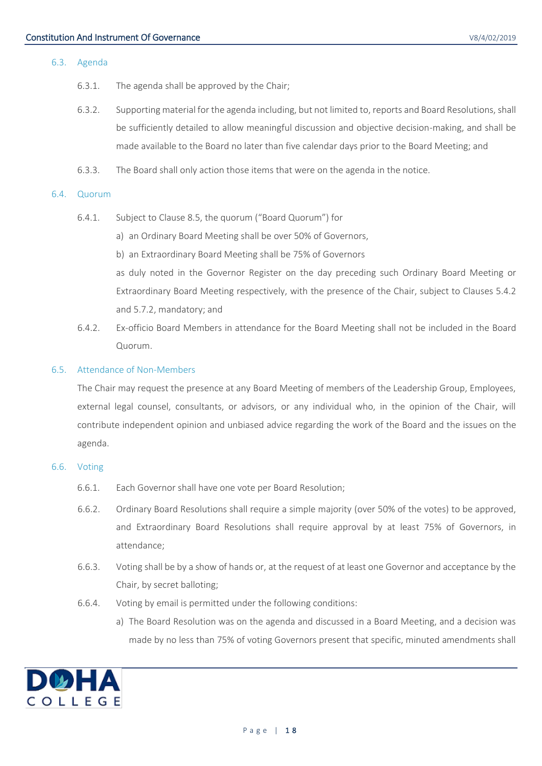#### <span id="page-17-0"></span>6.3. Agenda

- 6.3.1. The agenda shall be approved by the Chair;
- 6.3.2. Supporting material for the agenda including, but not limited to, reports and Board Resolutions, shall be sufficiently detailed to allow meaningful discussion and objective decision-making, and shall be made available to the Board no later than five calendar days prior to the Board Meeting; and
- 6.3.3. The Board shall only action those items that were on the agenda in the notice.

#### <span id="page-17-1"></span>6.4. Quorum

- 6.4.1. Subject to Clause [8.5,](#page-24-2) the quorum ("Board Quorum") for
	- a) an Ordinary Board Meeting shall be over 50% of Governors,
	- b) an Extraordinary Board Meeting shall be 75% of Governors

as duly noted in the Governor Register on the day preceding such Ordinary Board Meeting or Extraordinary Board Meeting respectively, with the presence of the Chair, subject to Clauses [5.4.2](#page-14-4) and [5.7.2,](#page-15-4) mandatory; and

6.4.2. Ex-officio Board Members in attendance for the Board Meeting shall not be included in the Board Quorum.

#### <span id="page-17-2"></span>6.5. Attendance of Non-Members

The Chair may request the presence at any Board Meeting of members of the Leadership Group, Employees, external legal counsel, consultants, or advisors, or any individual who, in the opinion of the Chair, will contribute independent opinion and unbiased advice regarding the work of the Board and the issues on the agenda.

#### <span id="page-17-3"></span>6.6. Voting

- 6.6.1. Each Governor shall have one vote per Board Resolution;
- 6.6.2. Ordinary Board Resolutions shall require a simple majority (over 50% of the votes) to be approved, and Extraordinary Board Resolutions shall require approval by at least 75% of Governors, in attendance;
- 6.6.3. Voting shall be by a show of hands or, at the request of at least one Governor and acceptance by the Chair, by secret balloting;
- 6.6.4. Voting by email is permitted under the following conditions:
	- a) The Board Resolution was on the agenda and discussed in a Board Meeting, and a decision was made by no less than 75% of voting Governors present that specific, minuted amendments shall

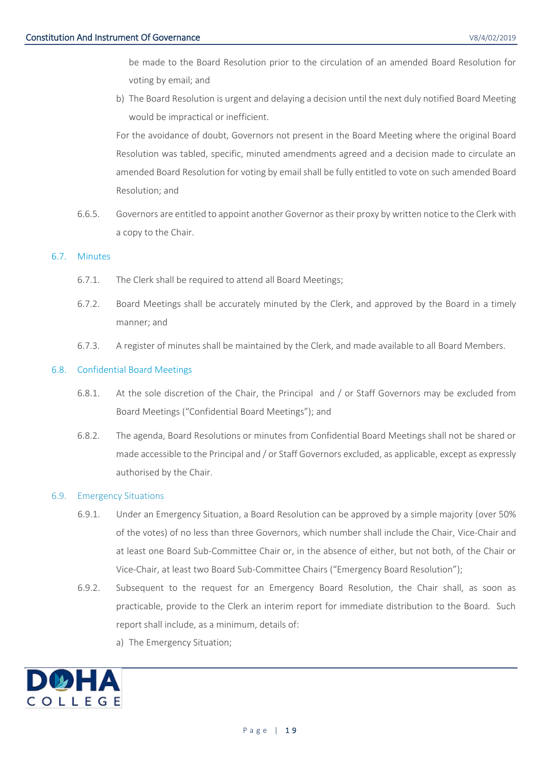be made to the Board Resolution prior to the circulation of an amended Board Resolution for voting by email; and

b) The Board Resolution is urgent and delaying a decision until the next duly notified Board Meeting would be impractical or inefficient.

For the avoidance of doubt, Governors not present in the Board Meeting where the original Board Resolution was tabled, specific, minuted amendments agreed and a decision made to circulate an amended Board Resolution for voting by email shall be fully entitled to vote on such amended Board Resolution; and

6.6.5. Governors are entitled to appoint another Governor as their proxy by written notice to the Clerk with a copy to the Chair.

## <span id="page-18-0"></span>6.7. Minutes

- 6.7.1. The Clerk shall be required to attend all Board Meetings;
- 6.7.2. Board Meetings shall be accurately minuted by the Clerk, and approved by the Board in a timely manner; and
- 6.7.3. A register of minutes shall be maintained by the Clerk, and made available to all Board Members.

## <span id="page-18-4"></span><span id="page-18-1"></span>6.8. Confidential Board Meetings

- 6.8.1. At the sole discretion of the Chair, the Principal and / or Staff Governors may be excluded from Board Meetings ("Confidential Board Meetings"); and
- 6.8.2. The agenda, Board Resolutions or minutes from Confidential Board Meetings shall not be shared or made accessible to the Principal and / or Staff Governors excluded, as applicable, except as expressly authorised by the Chair.

## <span id="page-18-3"></span><span id="page-18-2"></span>6.9. Emergency Situations

- 6.9.1. Under an Emergency Situation, a Board Resolution can be approved by a simple majority (over 50% of the votes) of no less than three Governors, which number shall include the Chair, Vice-Chair and at least one Board Sub-Committee Chair or, in the absence of either, but not both, of the Chair or Vice-Chair, at least two Board Sub-Committee Chairs ("Emergency Board Resolution");
- 6.9.2. Subsequent to the request for an Emergency Board Resolution, the Chair shall, as soon as practicable, provide to the Clerk an interim report for immediate distribution to the Board. Such report shall include, as a minimum, details of:
	- a) The Emergency Situation;

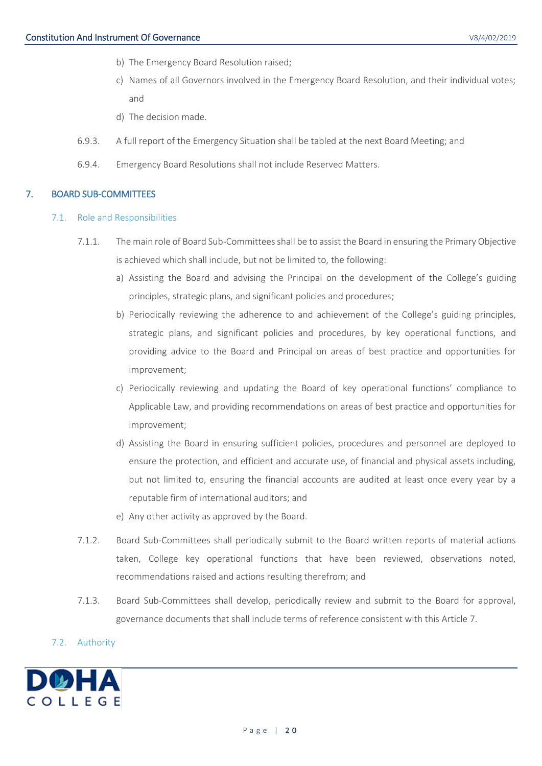- b) The Emergency Board Resolution raised;
- c) Names of all Governors involved in the Emergency Board Resolution, and their individual votes; and
- d) The decision made.
- 6.9.3. A full report of the Emergency Situation shall be tabled at the next Board Meeting; and
- 6.9.4. Emergency Board Resolutions shall not include Reserved Matters.

#### <span id="page-19-1"></span><span id="page-19-0"></span>7. BOARD SUB-COMMITTEES

#### 7.1. Role and Responsibilities

- 7.1.1. The main role of Board Sub-Committees shall be to assist the Board in ensuring the Primary Objective is achieved which shall include, but not be limited to, the following:
	- a) Assisting the Board and advising the Principal on the development of the College's guiding principles, strategic plans, and significant policies and procedures;
	- b) Periodically reviewing the adherence to and achievement of the College's guiding principles, strategic plans, and significant policies and procedures, by key operational functions, and providing advice to the Board and Principal on areas of best practice and opportunities for improvement;
	- c) Periodically reviewing and updating the Board of key operational functions' compliance to Applicable Law, and providing recommendations on areas of best practice and opportunities for improvement;
	- d) Assisting the Board in ensuring sufficient policies, procedures and personnel are deployed to ensure the protection, and efficient and accurate use, of financial and physical assets including, but not limited to, ensuring the financial accounts are audited at least once every year by a reputable firm of international auditors; and
	- e) Any other activity as approved by the Board.
- 7.1.2. Board Sub-Committees shall periodically submit to the Board written reports of material actions taken, College key operational functions that have been reviewed, observations noted, recommendations raised and actions resulting therefrom; and
- 7.1.3. Board Sub-Committees shall develop, periodically review and submit to the Board for approval, governance documents that shall include terms of reference consistent with this Article [7.](#page-19-0)

## <span id="page-19-2"></span>7.2. Authority

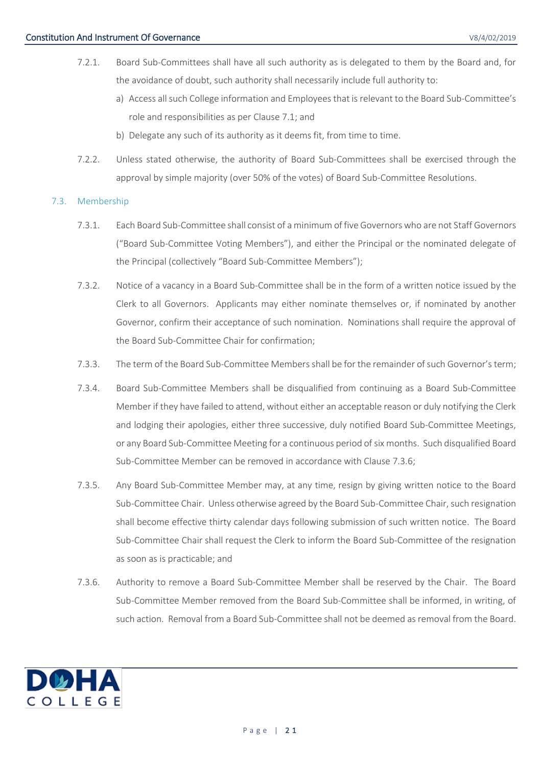- 7.2.1. Board Sub-Committees shall have all such authority as is delegated to them by the Board and, for the avoidance of doubt, such authority shall necessarily include full authority to:
	- a) Access all such College information and Employees that is relevant to the Board Sub-Committee's role and responsibilities as per Clause [7.1;](#page-19-1) and
	- b) Delegate any such of its authority as it deems fit, from time to time.
- 7.2.2. Unless stated otherwise, the authority of Board Sub-Committees shall be exercised through the approval by simple majority (over 50% of the votes) of Board Sub-Committee Resolutions.

## <span id="page-20-1"></span><span id="page-20-0"></span>7.3. Membership

- 7.3.1. Each Board Sub-Committee shall consist of a minimum of five Governors who are not Staff Governors ("Board Sub-Committee Voting Members"), and either the Principal or the nominated delegate of the Principal (collectively "Board Sub-Committee Members");
- 7.3.2. Notice of a vacancy in a Board Sub-Committee shall be in the form of a written notice issued by the Clerk to all Governors. Applicants may either nominate themselves or, if nominated by another Governor, confirm their acceptance of such nomination. Nominations shall require the approval of the Board Sub-Committee Chair for confirmation;
- 7.3.3. The term of the Board Sub-Committee Members shall be for the remainder of such Governor's term;
- 7.3.4. Board Sub-Committee Members shall be disqualified from continuing as a Board Sub-Committee Member if they have failed to attend, without either an acceptable reason or duly notifying the Clerk and lodging their apologies, either three successive, duly notified Board Sub-Committee Meetings, or any Board Sub-Committee Meeting for a continuous period of six months. Such disqualified Board Sub-Committee Member can be removed in accordance with Clause [7.3.6;](#page-20-2)
- 7.3.5. Any Board Sub-Committee Member may, at any time, resign by giving written notice to the Board Sub-Committee Chair. Unless otherwise agreed by the Board Sub-Committee Chair, such resignation shall become effective thirty calendar days following submission of such written notice. The Board Sub-Committee Chair shall request the Clerk to inform the Board Sub-Committee of the resignation as soon as is practicable; and
- <span id="page-20-2"></span>7.3.6. Authority to remove a Board Sub-Committee Member shall be reserved by the Chair. The Board Sub-Committee Member removed from the Board Sub-Committee shall be informed, in writing, of such action. Removal from a Board Sub-Committee shall not be deemed as removal from the Board.

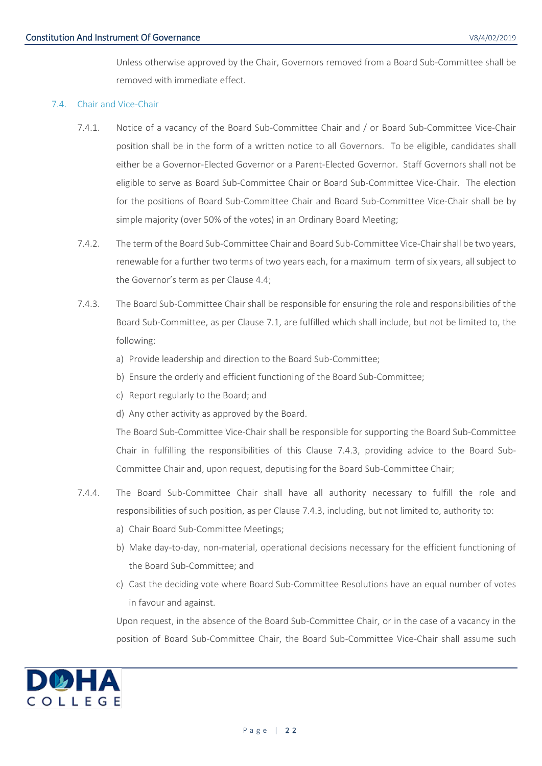Unless otherwise approved by the Chair, Governors removed from a Board Sub-Committee shall be removed with immediate effect.

#### <span id="page-21-0"></span>7.4. Chair and Vice-Chair

- 7.4.1. Notice of a vacancy of the Board Sub-Committee Chair and / or Board Sub-Committee Vice-Chair position shall be in the form of a written notice to all Governors. To be eligible, candidates shall either be a Governor-Elected Governor or a Parent-Elected Governor. Staff Governors shall not be eligible to serve as Board Sub-Committee Chair or Board Sub-Committee Vice-Chair. The election for the positions of Board Sub-Committee Chair and Board Sub-Committee Vice-Chair shall be by simple majority (over 50% of the votes) in an Ordinary Board Meeting;
- 7.4.2. The term of the Board Sub-Committee Chair and Board Sub-Committee Vice-Chair shall be two years, renewable for a further two terms of two years each, for a maximum term of six years, all subject to the Governor's term as per Clause [4.4;](#page-10-2)
- <span id="page-21-1"></span>7.4.3. The Board Sub-Committee Chair shall be responsible for ensuring the role and responsibilities of the Board Sub-Committee, as per Clause [7.1,](#page-19-1) are fulfilled which shall include, but not be limited to, the following:
	- a) Provide leadership and direction to the Board Sub-Committee;
	- b) Ensure the orderly and efficient functioning of the Board Sub-Committee;
	- c) Report regularly to the Board; and
	- d) Any other activity as approved by the Board.

The Board Sub-Committee Vice-Chair shall be responsible for supporting the Board Sub-Committee Chair in fulfilling the responsibilities of this Clause [7.4.3,](#page-21-1) providing advice to the Board Sub-Committee Chair and, upon request, deputising for the Board Sub-Committee Chair;

- 7.4.4. The Board Sub-Committee Chair shall have all authority necessary to fulfill the role and responsibilities of such position, as per Clause [7.4.3,](#page-21-1) including, but not limited to, authority to:
	- a) Chair Board Sub-Committee Meetings;
	- b) Make day-to-day, non-material, operational decisions necessary for the efficient functioning of the Board Sub-Committee; and
	- c) Cast the deciding vote where Board Sub-Committee Resolutions have an equal number of votes in favour and against.

Upon request, in the absence of the Board Sub-Committee Chair, or in the case of a vacancy in the position of Board Sub-Committee Chair, the Board Sub-Committee Vice-Chair shall assume such

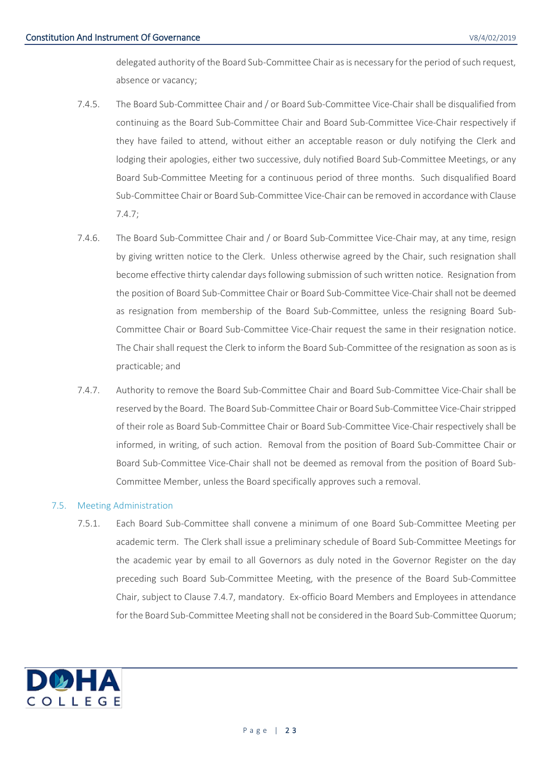delegated authority of the Board Sub-Committee Chair as is necessary for the period of such request, absence or vacancy;

- 7.4.5. The Board Sub-Committee Chair and / or Board Sub-Committee Vice-Chair shall be disqualified from continuing as the Board Sub-Committee Chair and Board Sub-Committee Vice-Chair respectively if they have failed to attend, without either an acceptable reason or duly notifying the Clerk and lodging their apologies, either two successive, duly notified Board Sub-Committee Meetings, or any Board Sub-Committee Meeting for a continuous period of three months. Such disqualified Board Sub-Committee Chair or Board Sub-Committee Vice-Chair can be removed in accordance with Clause [7.4.7;](#page-22-2)
- 7.4.6. The Board Sub-Committee Chair and / or Board Sub-Committee Vice-Chair may, at any time, resign by giving written notice to the Clerk. Unless otherwise agreed by the Chair, such resignation shall become effective thirty calendar days following submission of such written notice. Resignation from the position of Board Sub-Committee Chair or Board Sub-Committee Vice-Chair shall not be deemed as resignation from membership of the Board Sub-Committee, unless the resigning Board Sub-Committee Chair or Board Sub-Committee Vice-Chair request the same in their resignation notice. The Chair shall request the Clerk to inform the Board Sub-Committee of the resignation as soon as is practicable; and
- <span id="page-22-2"></span>7.4.7. Authority to remove the Board Sub-Committee Chair and Board Sub-Committee Vice-Chair shall be reserved by the Board. The Board Sub-Committee Chair or Board Sub-Committee Vice-Chair stripped of their role as Board Sub-Committee Chair or Board Sub-Committee Vice-Chair respectively shall be informed, in writing, of such action. Removal from the position of Board Sub-Committee Chair or Board Sub-Committee Vice-Chair shall not be deemed as removal from the position of Board Sub-Committee Member, unless the Board specifically approves such a removal.

## <span id="page-22-0"></span>7.5. Meeting Administration

<span id="page-22-3"></span><span id="page-22-1"></span>7.5.1. Each Board Sub-Committee shall convene a minimum of one Board Sub-Committee Meeting per academic term. The Clerk shall issue a preliminary schedule of Board Sub-Committee Meetings for the academic year by email to all Governors as duly noted in the Governor Register on the day preceding such Board Sub-Committee Meeting, with the presence of the Board Sub-Committee Chair, subject to Clause [7.4.7,](#page-22-2) mandatory. Ex-officio Board Members and Employees in attendance for the Board Sub-Committee Meeting shall not be considered in the Board Sub-Committee Quorum;

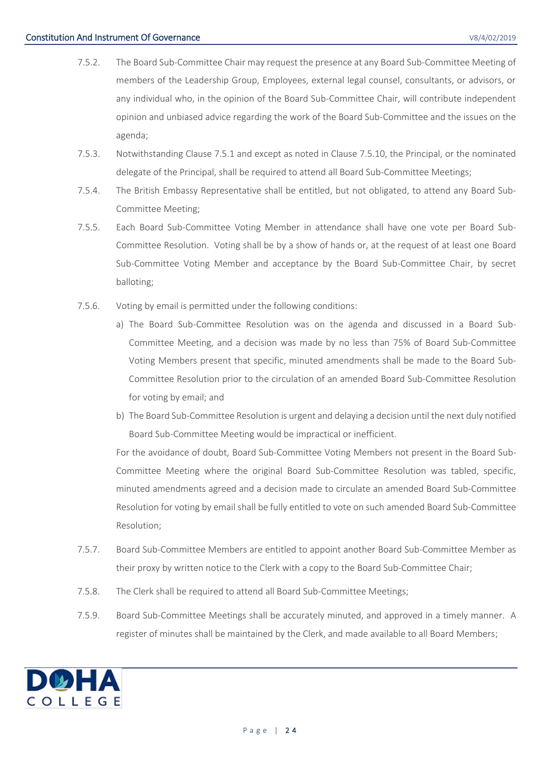- 7.5.2. The Board Sub-Committee Chair may request the presence at any Board Sub-Committee Meeting of members of the Leadership Group, Employees, external legal counsel, consultants, or advisors, or any individual who, in the opinion of the Board Sub-Committee Chair, will contribute independent opinion and unbiased advice regarding the work of the Board Sub-Committee and the issues on the agenda;
- 7.5.3. Notwithstanding Clause [7.5.1](#page-22-3) and except as noted in Clause [7.5.10,](#page-24-1) the Principal, or the nominated delegate of the Principal, shall be required to attend all Board Sub-Committee Meetings;
- 7.5.4. The British Embassy Representative shall be entitled, but not obligated, to attend any Board Sub-Committee Meeting;
- 7.5.5. Each Board Sub-Committee Voting Member in attendance shall have one vote per Board Sub-Committee Resolution. Voting shall be by a show of hands or, at the request of at least one Board Sub-Committee Voting Member and acceptance by the Board Sub-Committee Chair, by secret balloting;
- 7.5.6. Voting by email is permitted under the following conditions:
	- a) The Board Sub-Committee Resolution was on the agenda and discussed in a Board Sub-Committee Meeting, and a decision was made by no less than 75% of Board Sub-Committee Voting Members present that specific, minuted amendments shall be made to the Board Sub-Committee Resolution prior to the circulation of an amended Board Sub-Committee Resolution for voting by email; and
	- b) The Board Sub-Committee Resolution is urgent and delaying a decision until the next duly notified Board Sub-Committee Meeting would be impractical or inefficient.

For the avoidance of doubt, Board Sub-Committee Voting Members not present in the Board Sub-Committee Meeting where the original Board Sub-Committee Resolution was tabled, specific, minuted amendments agreed and a decision made to circulate an amended Board Sub-Committee Resolution for voting by email shall be fully entitled to vote on such amended Board Sub-Committee Resolution;

- 7.5.7. Board Sub-Committee Members are entitled to appoint another Board Sub-Committee Member as their proxy by written notice to the Clerk with a copy to the Board Sub-Committee Chair;
- 7.5.8. The Clerk shall be required to attend all Board Sub-Committee Meetings;
- 7.5.9. Board Sub-Committee Meetings shall be accurately minuted, and approved in a timely manner. A register of minutes shall be maintained by the Clerk, and made available to all Board Members;

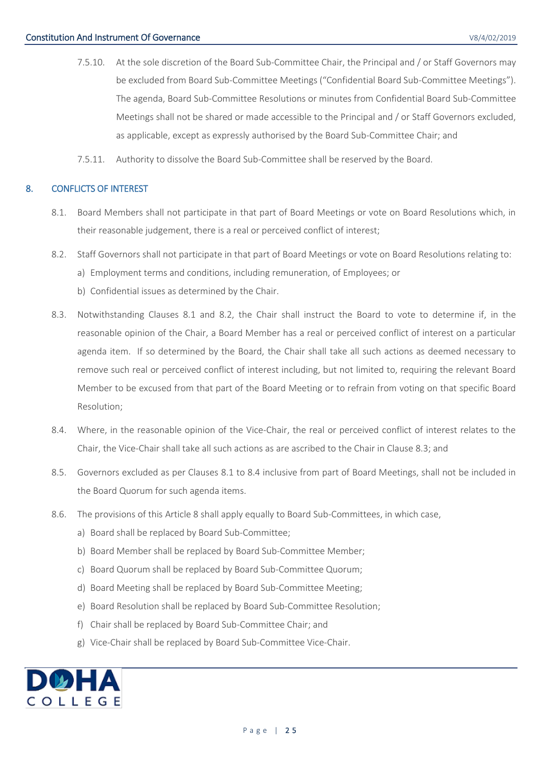- <span id="page-24-1"></span>7.5.10. At the sole discretion of the Board Sub-Committee Chair, the Principal and / or Staff Governors may be excluded from Board Sub-Committee Meetings ("Confidential Board Sub-Committee Meetings"). The agenda, Board Sub-Committee Resolutions or minutes from Confidential Board Sub-Committee Meetings shall not be shared or made accessible to the Principal and / or Staff Governors excluded, as applicable, except as expressly authorised by the Board Sub-Committee Chair; and
- 7.5.11. Authority to dissolve the Board Sub-Committee shall be reserved by the Board.

## <span id="page-24-3"></span><span id="page-24-0"></span>8. CONFLICTS OF INTEREST

- 8.1. Board Members shall not participate in that part of Board Meetings or vote on Board Resolutions which, in their reasonable judgement, there is a real or perceived conflict of interest;
- <span id="page-24-4"></span>8.2. Staff Governors shall not participate in that part of Board Meetings or vote on Board Resolutions relating to:
	- a) Employment terms and conditions, including remuneration, of Employees; or
	- b) Confidential issues as determined by the Chair.
- <span id="page-24-5"></span>8.3. Notwithstanding Clauses [8.1](#page-24-3) and [8.2,](#page-24-4) the Chair shall instruct the Board to vote to determine if, in the reasonable opinion of the Chair, a Board Member has a real or perceived conflict of interest on a particular agenda item. If so determined by the Board, the Chair shall take all such actions as deemed necessary to remove such real or perceived conflict of interest including, but not limited to, requiring the relevant Board Member to be excused from that part of the Board Meeting or to refrain from voting on that specific Board Resolution;
- <span id="page-24-6"></span>8.4. Where, in the reasonable opinion of the Vice-Chair, the real or perceived conflict of interest relates to the Chair, the Vice-Chair shall take all such actions as are ascribed to the Chair in Claus[e 8.3;](#page-24-5) and
- <span id="page-24-2"></span>8.5. Governors excluded as per Clauses [8.1](#page-24-3) to [8.4](#page-24-6) inclusive from part of Board Meetings, shall not be included in the Board Quorum for such agenda items.
- 8.6. The provisions of this Article [8](#page-24-0) shall apply equally to Board Sub-Committees, in which case,
	- a) Board shall be replaced by Board Sub-Committee;
	- b) Board Member shall be replaced by Board Sub-Committee Member;
	- c) Board Quorum shall be replaced by Board Sub-Committee Quorum;
	- d) Board Meeting shall be replaced by Board Sub-Committee Meeting;
	- e) Board Resolution shall be replaced by Board Sub-Committee Resolution;
	- f) Chair shall be replaced by Board Sub-Committee Chair; and
	- g) Vice-Chair shall be replaced by Board Sub-Committee Vice-Chair.